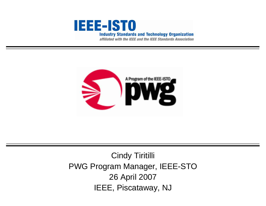

affiliated with the IEEE and the IEEE Standards Association



Cindy Tiritilli PWG Program Manager, IEEE-STO 26 April 2007 IEEE, Piscataway, NJ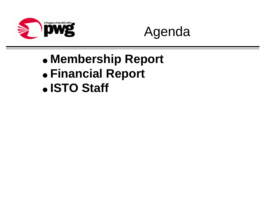



- **Membership Report**
- **Financial Report**
- **ISTO Staff**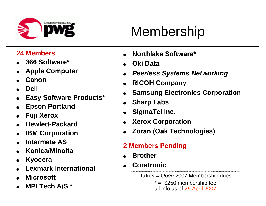

# Membership

#### **24 Members**

- O**366 Software\***
- O**Apple Computer**
- O**Canon**
- O**Dell**
- O**Easy Software Products\***
- O**Epson Portland**
- O**Fuji Xerox**
- O**Hewlett-Packard**
- O**IBM Corporation**
- O**Intermate AS**
- O**Konica/Minolta**
- O**Kyocera**
- O**Lexmark International**
- O**Microsoft**
- O**MPI Tech A/S \***
- O**Northlake Software\***
- O**Oki Data**
- O*Peerless Systems Networking*
- O**RICOH Company**
- O**Samsung Electronics Corporation**
- O**Sharp Labs**
- O**SigmaTel Inc.**
- O**Xerox Corporation**
- O**Zoran (Oak Technologies)**
- **2 Members Pending**
- O**Brother**
- O**Coretronic**

**Italics** <sup>=</sup>*Open* 2007 Membership dues  $* = $250$  membership fee all info as of 25 April 2007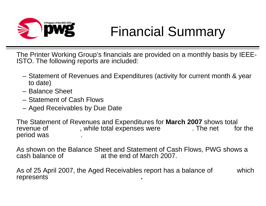

### Financial Summary

The Printer Working Group's financials are provided on a monthly basis by IEEE-ISTO. The following reports are included:

- Statement of Revenues and Expenditures (activity for current month & year to date)
- Balance Sheet
- Statement of Cash Flows
- Aged Receivables by Due Date

The Statement of Revenues and Expenditures for **March 2007** shows total revenue of , while total expenses were **the loss for the loss for the loss for the** period was **\$**1,103.55.

As shown on the Balance Sheet and Statement of Cash Flows, PWG shows a cash balance of **844** at the end of March 2007.

As of 25 April 2007, the Aged Receivables report has a balance of which **represents**